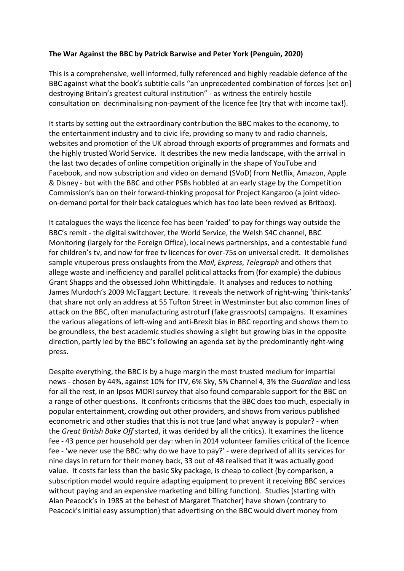## **The War Against the BBC by Patrick Barwise and Peter York (Penguin, 2020)**

This is a comprehensive, well informed, fully referenced and highly readable defence of the BBC against what the book's subtitle calls "an unprecedented combination of forces [set on] destroying Britain's greatest cultural institution" - as witness the entirely hostile consultation on decriminalising non-payment of the licence fee (try that with income tax!).

It starts by setting out the extraordinary contribution the BBC makes to the economy, to the entertainment industry and to civic life, providing so many tv and radio channels, websites and promotion of the UK abroad through exports of programmes and formats and the highly trusted World Service. It describes the new media landscape, with the arrival in the last two decades of online competition originally in the shape of YouTube and Facebook, and now subscription and video on demand (SVoD) from Netflix, Amazon, Apple & Disney - but with the BBC and other PSBs hobbled at an early stage by the Competition Commission's ban on their forward-thinking proposal for Project Kangaroo (a joint videoon-demand portal for their back catalogues which has too late been revived as Britbox).

It catalogues the ways the licence fee has been 'raided' to pay for things way outside the BBC's remit - the digital switchover, the World Service, the Welsh S4C channel, BBC Monitoring (largely for the Foreign Office), local news partnerships, and a contestable fund for children's tv, and now for free tv licences for over-75s on universal credit. It demolishes sample vituperous press onslaughts from the *Mail*, *Express*, *Telegraph* and others that allege waste and inefficiency and parallel political attacks from (for example) the dubious Grant Shapps and the obsessed John Whittingdale. It analyses and reduces to nothing James Murdoch's 2009 McTaggart Lecture. It reveals the network of right-wing 'think-tanks' that share not only an address at 55 Tufton Street in Westminster but also common lines of attack on the BBC, often manufacturing astroturf (fake grassroots) campaigns. It examines the various allegations of left-wing and anti-Brexit bias in BBC reporting and shows them to be groundless, the best academic studies showing a slight but growing bias in the opposite direction, partly led by the BBC's following an agenda set by the predominantly right-wing press.

Despite everything, the BBC is by a huge margin the most trusted medium for impartial news - chosen by 44%, against 10% for ITV, 6% Sky, 5% Channel 4, 3% the *Guardian* and less for all the rest, in an Ipsos MORI survey that also found comparable support for the BBC on a range of other questions. It confronts criticisms that the BBC does too much, especially in popular entertainment, crowding out other providers, and shows from various published econometric and other studies that this is not true (and what anyway is popular? - when the *Great British Bake Off* started, it was derided by all the critics). It examines the licence fee - 43 pence per household per day: when in 2014 volunteer families critical of the licence fee - 'we never use the BBC: why do we have to pay?' - were deprived of all its services for nine days in return for their money back, 33 out of 48 realised that it was actually good value. It costs far less than the basic Sky package, is cheap to collect (by comparison, a subscription model would require adapting equipment to prevent it receiving BBC services without paying and an expensive marketing and billing function). Studies (starting with Alan Peacock's in 1985 at the behest of Margaret Thatcher) have shown (contrary to Peacock's initial easy assumption) that advertising on the BBC would divert money from